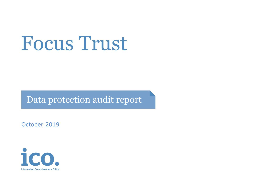# Focus Trust

Data protection audit report

October 2019

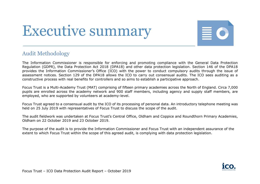## Executive summary



#### Audit Methodology

The Information Commissioner is responsible for enforcing and promoting compliance with the General Data Protection Regulation (GDPR), the Data Protection Act 2018 (DPA18) and other data protection legislation. Section 146 of the DPA18 provides the Information Commissioner's Office (ICO) with the power to conduct compulsory audits through the issue of assessment notices. Section 129 of the DPA18 allows the ICO to carry out consensual audits. The ICO sees auditing as a constructive process with real benefits for controllers and so aims to establish a participative approach.

Focus Trust is a Multi-Academy Trust (MAT) comprising of fifteen primary academies across the North of England. Circa 7,000 pupils are enrolled across the academy network and 900 staff members, including agency and supply staff members, are employed, who are supported by volunteers at academy-level.

Focus Trust agreed to a consensual audit by the ICO of its processing of personal data. An introductory telephone meeting was held on 25 July 2019 with representatives of Focus Trust to discuss the scope of the audit.

The audit fieldwork was undertaken at Focus Trust's Central Office, Oldham and Coppice and Roundthorn Primary Academies, Oldham on 22 October 2019 and 23 October 2019.

The purpose of the audit is to provide the Information Commissioner and Focus Trust with an independent assurance of the extent to which Focus Trust within the scope of this agreed audit, is complying with data protection legislation.

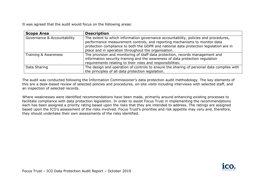It was agreed that the audit would focus on the following areas:

| <b>Scope Area</b>           | <b>Description</b>                                                                                                                                                                                                                                                                                                 |
|-----------------------------|--------------------------------------------------------------------------------------------------------------------------------------------------------------------------------------------------------------------------------------------------------------------------------------------------------------------|
| Governance & Accountability | The extent to which information governance accountability, policies and procedures,<br>performance measurement controls, and reporting mechanisms to monitor data<br>protection compliance to both the GDPR and national data protection legislation are in<br>place and in operation throughout the organisation. |
| Training & Awareness        | The provision and monitoring of staff data protection, records management and<br>information security training and the awareness of data protection regulation<br>requirements relating to their roles and responsibilities.                                                                                       |
| Data Sharing                | The design and operation of controls to ensure the sharing of personal data complies with<br>the principles of all data protection legislation.                                                                                                                                                                    |

The audit was conducted following the Information Commissioner's data protection audit methodology. The key elements of this are a desk-based review of selected policies and procedures, on-site visits including interviews with selected staff, and an inspection of selected records.

Where weaknesses were identified recommendations have been made, primarily around enhancing existing processes to facilitate compliance with data protection legislation. In order to assist Focus Trust in implementing the recommendations each has been assigned a priority rating based upon the risks that they are intended to address. The ratings are assigned based upon the ICO's assessment of the risks involved. Focus Trust's priorities and risk appetite may vary and, therefore, they should undertake their own assessments of the risks identified.

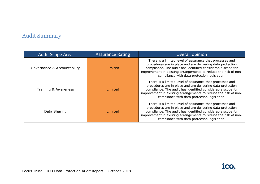### Audit Summary

| <b>Audit Scope Area</b>     | <b>Assurance Rating</b> | <b>Overall opinion</b>                                                                                                                                                                                                                                                                                   |
|-----------------------------|-------------------------|----------------------------------------------------------------------------------------------------------------------------------------------------------------------------------------------------------------------------------------------------------------------------------------------------------|
| Governance & Accountability | Limited                 | There is a limited level of assurance that processes and<br>procedures are in place and are delivering data protection<br>compliance. The audit has identified considerable scope for<br>improvement in existing arrangements to reduce the risk of non-<br>compliance with data protection legislation. |
| Training & Awareness        | Limited                 | There is a limited level of assurance that processes and<br>procedures are in place and are delivering data protection<br>compliance. The audit has identified considerable scope for<br>improvement in existing arrangements to reduce the risk of non-<br>compliance with data protection legislation. |
| Data Sharing                | Limited                 | There is a limited level of assurance that processes and<br>procedures are in place and are delivering data protection<br>compliance. The audit has identified considerable scope for<br>improvement in existing arrangements to reduce the risk of non-<br>compliance with data protection legislation. |

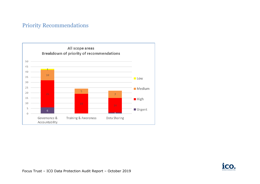#### Priority Recommendations



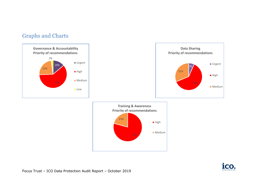#### Graphs and Charts





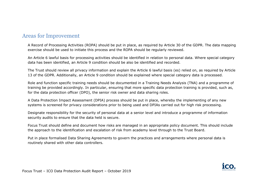#### Areas for Improvement

A Record of Processing Activities (ROPA) should be put in place, as required by Article 30 of the GDPR. The data mapping exercise should be used to initiate this process and the ROPA should be regularly reviewed.

An Article 6 lawful basis for processing activities should be identified in relation to personal data. Where special category data has been identified, an Article 9 condition should be also be identified and recorded.

The Trust should review all privacy information and explain the Article 6 lawful basis (es) relied on, as required by Article 13 of the GDPR. Additionally, an Article 9 condition should be explained where special category data is processed.

Role and function specific training needs should be documented in a Training Needs Analysis (TNA) and a programme of training be provided accordingly. In particular, ensuring that more specific data protection training is provided, such as, for the data protection officer (DPO), the senior risk owner and data sharing roles.

A Data Protection Impact Assessment (DPIA) process should be put in place, whereby the implementing of any new systems is screened for privacy considerations prior to being used and DPIAs carried out for high risk processing.

Designate responsibility for the security of personal data at a senior level and introduce a programme of information security audits to ensure that the data held is secure.

Focus Trust should define and document how risks are managed in an appropriate policy document. This should include the approach to the identification and escalation of risk from academy level through to the Trust Board.

Put in place formalised Data Sharing Agreements to govern the practices and arrangements where personal data is routinely shared with other data controllers.